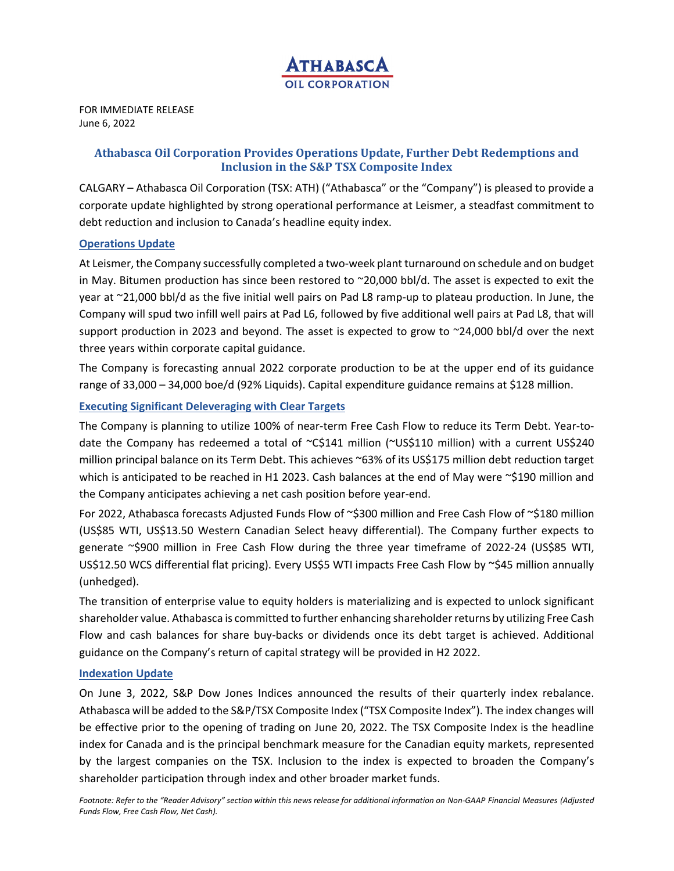

FOR IMMEDIATE RELEASE June 6, 2022

# **Athabasca Oil Corporation Provides Operations Update, Further Debt Redemptions and Inclusion in the S&P TSX Composite Index**

CALGARY – Athabasca Oil Corporation (TSX: ATH) ("Athabasca" or the "Company") is pleased to provide a corporate update highlighted by strong operational performance at Leismer, a steadfast commitment to debt reduction and inclusion to Canada's headline equity index.

### **Operations Update**

At Leismer, the Company successfully completed a two-week plant turnaround on schedule and on budget in May. Bitumen production has since been restored to ~20,000 bbl/d. The asset is expected to exit the year at ~21,000 bbl/d as the five initial well pairs on Pad L8 ramp‐up to plateau production. In June, the Company will spud two infill well pairs at Pad L6, followed by five additional well pairs at Pad L8, that will support production in 2023 and beyond. The asset is expected to grow to ~24,000 bbl/d over the next three years within corporate capital guidance.

The Company is forecasting annual 2022 corporate production to be at the upper end of its guidance range of 33,000 – 34,000 boe/d (92% Liquids). Capital expenditure guidance remains at \$128 million.

### **Executing Significant Deleveraging with Clear Targets**

The Company is planning to utilize 100% of near-term Free Cash Flow to reduce its Term Debt. Year-todate the Company has redeemed a total of  $\sim$ C\$141 million ( $\sim$ US\$110 million) with a current US\$240 million principal balance on its Term Debt. This achieves ~63% of its US\$175 million debt reduction target which is anticipated to be reached in H1 2023. Cash balances at the end of May were ~\$190 million and the Company anticipates achieving a net cash position before year‐end.

For 2022, Athabasca forecasts Adjusted Funds Flow of ~\$300 million and Free Cash Flow of ~\$180 million (US\$85 WTI, US\$13.50 Western Canadian Select heavy differential). The Company further expects to generate ~\$900 million in Free Cash Flow during the three year timeframe of 2022‐24 (US\$85 WTI, US\$12.50 WCS differential flat pricing). Every US\$5 WTI impacts Free Cash Flow by ~\$45 million annually (unhedged).

The transition of enterprise value to equity holders is materializing and is expected to unlock significant shareholder value. Athabasca is committed to further enhancing shareholder returns by utilizing Free Cash Flow and cash balances for share buy-backs or dividends once its debt target is achieved. Additional guidance on the Company's return of capital strategy will be provided in H2 2022.

### **Indexation Update**

On June 3, 2022, S&P Dow Jones Indices announced the results of their quarterly index rebalance. Athabasca will be added to the S&P/TSX Composite Index ("TSX Composite Index"). The index changes will be effective prior to the opening of trading on June 20, 2022. The TSX Composite Index is the headline index for Canada and is the principal benchmark measure for the Canadian equity markets, represented by the largest companies on the TSX. Inclusion to the index is expected to broaden the Company's shareholder participation through index and other broader market funds.

*Footnote: Refer to the "Reader Advisory" section within this news release for additional information on Non‐GAAP Financial Measures (Adjusted Funds Flow, Free Cash Flow, Net Cash).*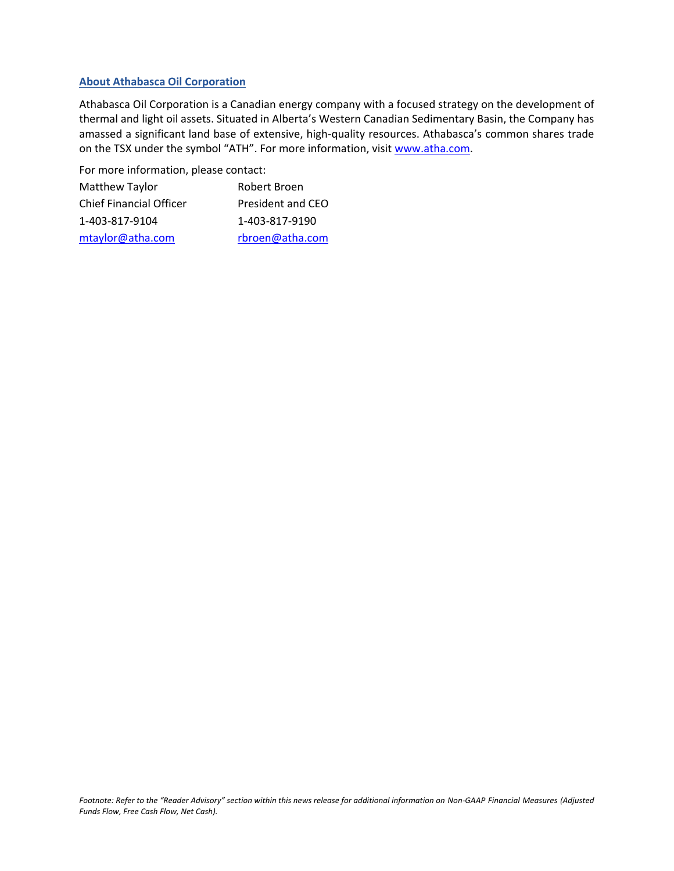## **About Athabasca Oil Corporation**

Athabasca Oil Corporation is a Canadian energy company with a focused strategy on the development of thermal and light oil assets. Situated in Alberta's Western Canadian Sedimentary Basin, the Company has amassed a significant land base of extensive, high-quality resources. Athabasca's common shares trade on the TSX under the symbol "ATH". For more information, visit www.atha.com.

For more information, please contact:

| Matthew Taylor                 | Robert Broen      |
|--------------------------------|-------------------|
| <b>Chief Financial Officer</b> | President and CEO |
| 1-403-817-9104                 | 1-403-817-9190    |
| mtaylor@atha.com               | rbroen@atha.com   |